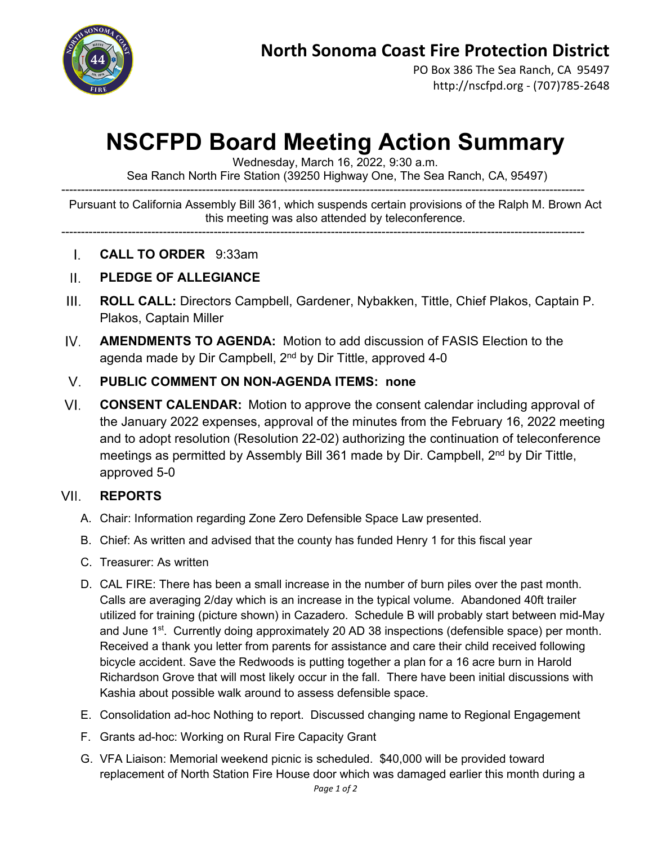

PO Box 386 The Sea Ranch, CA 95497 http://nscfpd.org - (707)785-2648

# **NSCFPD Board Meeting Action Summary**

Wednesday, March 16, 2022, 9:30 a.m.

Sea Ranch North Fire Station (39250 Highway One, The Sea Ranch, CA, 95497)

-------------------------------------------------------------------------------------------------------------------------------------- Pursuant to California Assembly Bill 361, which suspends certain provisions of the Ralph M. Brown Act this meeting was also attended by teleconference.

--------------------------------------------------------------------------------------------------------------------------------------

 $\mathbf{L}$ **CALL TO ORDER** 9:33am

### $II.$ **PLEDGE OF ALLEGIANCE**

- $III.$ **ROLL CALL:** Directors Campbell, Gardener, Nybakken, Tittle, Chief Plakos, Captain P. Plakos, Captain Miller
- $IV.$ **AMENDMENTS TO AGENDA:** Motion to add discussion of FASIS Election to the agenda made by Dir Campbell, 2<sup>nd</sup> by Dir Tittle, approved 4-0

## $V_{\perp}$ **PUBLIC COMMENT ON NON-AGENDA ITEMS: none**

 $VI.$ **CONSENT CALENDAR:** Motion to approve the consent calendar including approval of the January 2022 expenses, approval of the minutes from the February 16, 2022 meeting and to adopt resolution (Resolution 22-02) authorizing the continuation of teleconference meetings as permitted by Assembly Bill 361 made by Dir. Campbell, 2<sup>nd</sup> by Dir Tittle, approved 5-0

#### VIL **REPORTS**

- A. Chair: Information regarding Zone Zero Defensible Space Law presented.
- B. Chief: As written and advised that the county has funded Henry 1 for this fiscal year
- C. Treasurer: As written
- D. CAL FIRE: There has been a small increase in the number of burn piles over the past month. Calls are averaging 2/day which is an increase in the typical volume. Abandoned 40ft trailer utilized for training (picture shown) in Cazadero. Schedule B will probably start between mid-May and June  $1<sup>st</sup>$ . Currently doing approximately 20 AD 38 inspections (defensible space) per month. Received a thank you letter from parents for assistance and care their child received following bicycle accident. Save the Redwoods is putting together a plan for a 16 acre burn in Harold Richardson Grove that will most likely occur in the fall. There have been initial discussions with Kashia about possible walk around to assess defensible space.
- E. Consolidation ad-hoc Nothing to report. Discussed changing name to Regional Engagement
- F. Grants ad-hoc: Working on Rural Fire Capacity Grant
- G. VFA Liaison: Memorial weekend picnic is scheduled. \$40,000 will be provided toward replacement of North Station Fire House door which was damaged earlier this month during a